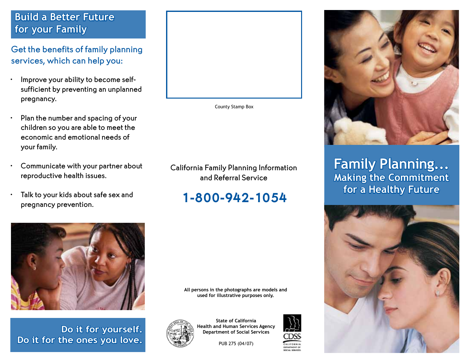### **Build a Better Future for your Family**

Get the benefits of family planning services, which can help you:

- • Improve your ability to become selfsufficient by preventing an unplanned pregnancy.
- $\cdot$  Plan the number and spacing of your children so you are able to meet the economic and emotional needs of your family.
- Communicate with your partner about reproductive health issues.
- Talk to your kids about safe sex and pregnancy prevention.



County Stamp Box

California Family Planning Information and Referral Service

# 1-800-942-1054



**Do it for yourself. Do it for the ones you love.** 



**State of California Health and Human Services Agency Department of Social Services** 

**All persons in the photographs are models and used for illustrative purposes only.** 

PUB 275 (04/07)





**Family Planning... Making the Commitment for a Healthy Future**